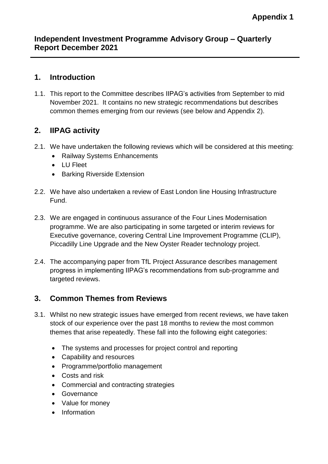#### **Independent Investment Programme Advisory Group – Quarterly Report December 2021**

## **1. Introduction**

1.1. This report to the Committee describes IIPAG's activities from September to mid November 2021. It contains no new strategic recommendations but describes common themes emerging from our reviews (see below and Appendix 2).

## **2. IIPAG activity**

- 2.1. We have undertaken the following reviews which will be considered at this meeting:
	- Railway Systems Enhancements
	- LU Fleet
	- Barking Riverside Extension
- 2.2. We have also undertaken a review of East London line Housing Infrastructure Fund.
- 2.3. We are engaged in continuous assurance of the Four Lines Modernisation programme. We are also participating in some targeted or interim reviews for Executive governance, covering Central Line Improvement Programme (CLIP), Piccadilly Line Upgrade and the New Oyster Reader technology project.
- 2.4. The accompanying paper from TfL Project Assurance describes management progress in implementing IIPAG's recommendations from sub-programme and targeted reviews.

#### **3. Common Themes from Reviews**

- 3.1. Whilst no new strategic issues have emerged from recent reviews, we have taken stock of our experience over the past 18 months to review the most common themes that arise repeatedly. These fall into the following eight categories:
	- The systems and processes for project control and reporting
	- Capability and resources
	- Programme/portfolio management
	- Costs and risk
	- Commercial and contracting strategies
	- Governance
	- Value for money
	- Information